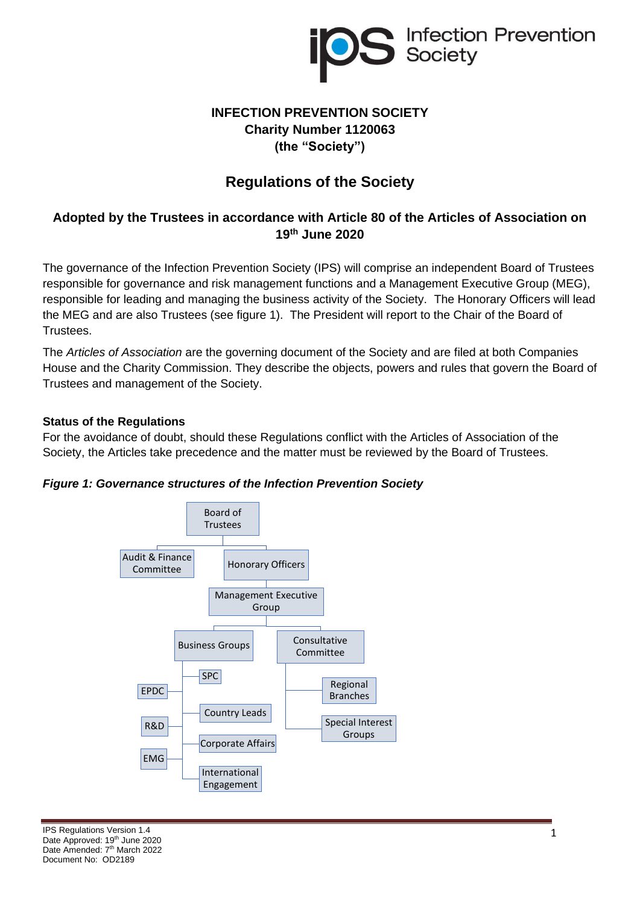

# **INFECTION PREVENTION SOCIETY Charity Number 1120063 (the "Society")**

# **Regulations of the Society**

## **Adopted by the Trustees in accordance with Article 80 of the Articles of Association on 19th June 2020**

The governance of the Infection Prevention Society (IPS) will comprise an independent Board of Trustees responsible for governance and risk management functions and a Management Executive Group (MEG), responsible for leading and managing the business activity of the Society. The Honorary Officers will lead the MEG and are also Trustees (see figure 1). The President will report to the Chair of the Board of Trustees.

The *Articles of Association* are the governing document of the Society and are filed at both Companies House and the Charity Commission. They describe the objects, powers and rules that govern the Board of Trustees and management of the Society.

#### **Status of the Regulations**

For the avoidance of doubt, should these Regulations conflict with the Articles of Association of the Society, the Articles take precedence and the matter must be reviewed by the Board of Trustees.



*Figure 1: Governance structures of the Infection Prevention Society*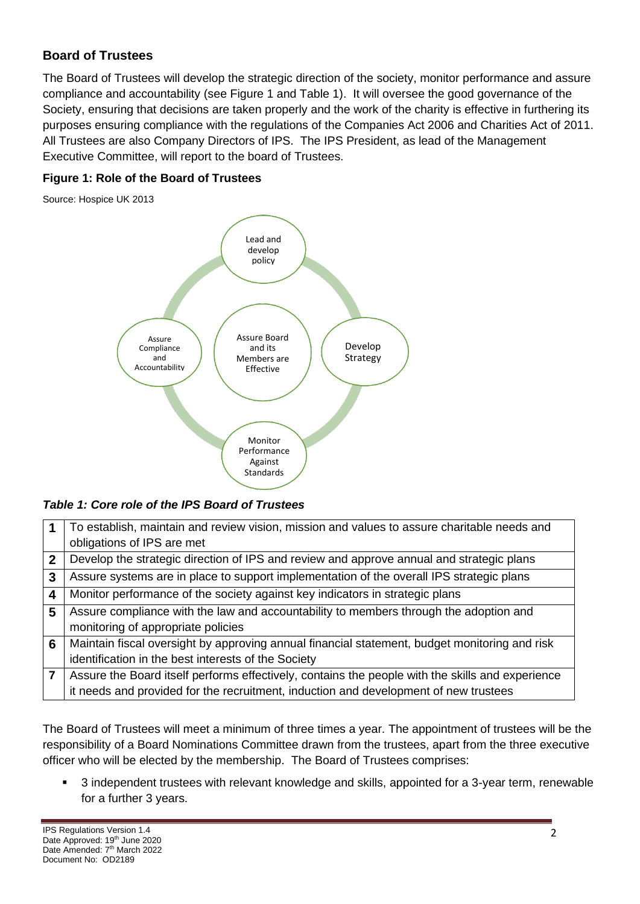# **Board of Trustees**

The Board of Trustees will develop the strategic direction of the society, monitor performance and assure compliance and accountability (see Figure 1 and Table 1). It will oversee the good governance of the Society, ensuring that decisions are taken properly and the work of the charity is effective in furthering its purposes ensuring compliance with the regulations of the Companies Act 2006 and Charities Act of 2011. All Trustees are also Company Directors of IPS. The IPS President, as lead of the Management Executive Committee, will report to the board of Trustees.

### **Figure 1: Role of the Board of Trustees**

Source: Hospice UK 2013



*Table 1: Core role of the IPS Board of Trustees*

|   | To establish, maintain and review vision, mission and values to assure charitable needs and      |
|---|--------------------------------------------------------------------------------------------------|
|   | obligations of IPS are met                                                                       |
| 2 | Develop the strategic direction of IPS and review and approve annual and strategic plans         |
| 3 | Assure systems are in place to support implementation of the overall IPS strategic plans         |
| 4 | Monitor performance of the society against key indicators in strategic plans                     |
| 5 | Assure compliance with the law and accountability to members through the adoption and            |
|   | monitoring of appropriate policies                                                               |
| 6 | Maintain fiscal oversight by approving annual financial statement, budget monitoring and risk    |
|   | identification in the best interests of the Society                                              |
|   | Assure the Board itself performs effectively, contains the people with the skills and experience |
|   | it needs and provided for the recruitment, induction and development of new trustees             |

The Board of Trustees will meet a minimum of three times a year. The appointment of trustees will be the responsibility of a Board Nominations Committee drawn from the trustees, apart from the three executive officer who will be elected by the membership. The Board of Trustees comprises:

3 independent trustees with relevant knowledge and skills, appointed for a 3-year term, renewable for a further 3 years.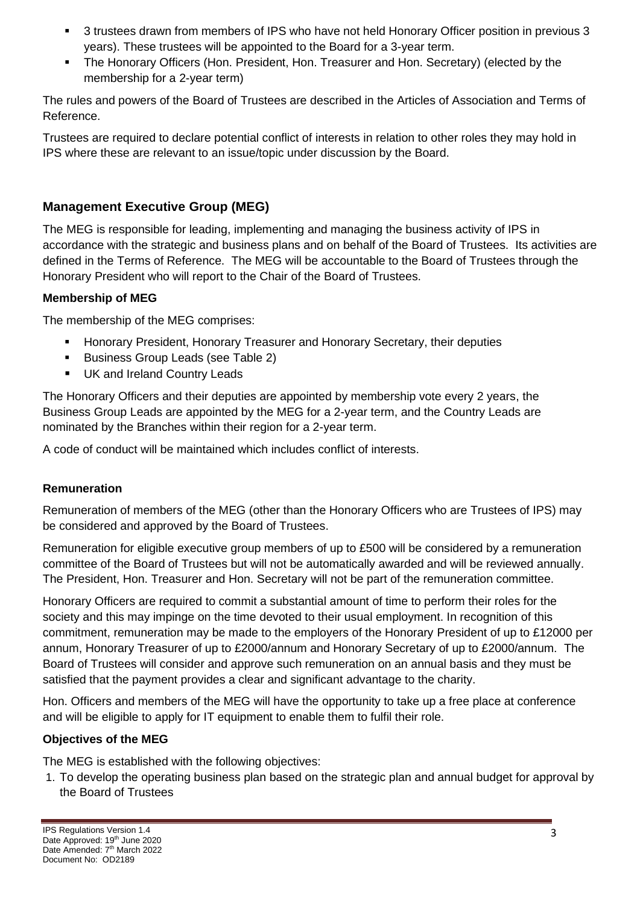- 3 trustees drawn from members of IPS who have not held Honorary Officer position in previous 3 years). These trustees will be appointed to the Board for a 3-year term.
- The Honorary Officers (Hon. President, Hon. Treasurer and Hon. Secretary) (elected by the membership for a 2-year term)

The rules and powers of the Board of Trustees are described in the Articles of Association and Terms of Reference.

Trustees are required to declare potential conflict of interests in relation to other roles they may hold in IPS where these are relevant to an issue/topic under discussion by the Board.

# **Management Executive Group (MEG)**

The MEG is responsible for leading, implementing and managing the business activity of IPS in accordance with the strategic and business plans and on behalf of the Board of Trustees. Its activities are defined in the Terms of Reference. The MEG will be accountable to the Board of Trustees through the Honorary President who will report to the Chair of the Board of Trustees.

#### **Membership of MEG**

The membership of the MEG comprises:

- Honorary President, Honorary Treasurer and Honorary Secretary, their deputies
- Business Group Leads (see Table 2)
- UK and Ireland Country Leads

The Honorary Officers and their deputies are appointed by membership vote every 2 years, the Business Group Leads are appointed by the MEG for a 2-year term, and the Country Leads are nominated by the Branches within their region for a 2-year term.

A code of conduct will be maintained which includes conflict of interests.

### **Remuneration**

Remuneration of members of the MEG (other than the Honorary Officers who are Trustees of IPS) may be considered and approved by the Board of Trustees.

Remuneration for eligible executive group members of up to £500 will be considered by a remuneration committee of the Board of Trustees but will not be automatically awarded and will be reviewed annually. The President, Hon. Treasurer and Hon. Secretary will not be part of the remuneration committee.

Honorary Officers are required to commit a substantial amount of time to perform their roles for the society and this may impinge on the time devoted to their usual employment. In recognition of this commitment, remuneration may be made to the employers of the Honorary President of up to £12000 per annum, Honorary Treasurer of up to £2000/annum and Honorary Secretary of up to £2000/annum. The Board of Trustees will consider and approve such remuneration on an annual basis and they must be satisfied that the payment provides a clear and significant advantage to the charity.

Hon. Officers and members of the MEG will have the opportunity to take up a free place at conference and will be eligible to apply for IT equipment to enable them to fulfil their role.

### **Objectives of the MEG**

The MEG is established with the following objectives:

1. To develop the operating business plan based on the strategic plan and annual budget for approval by the Board of Trustees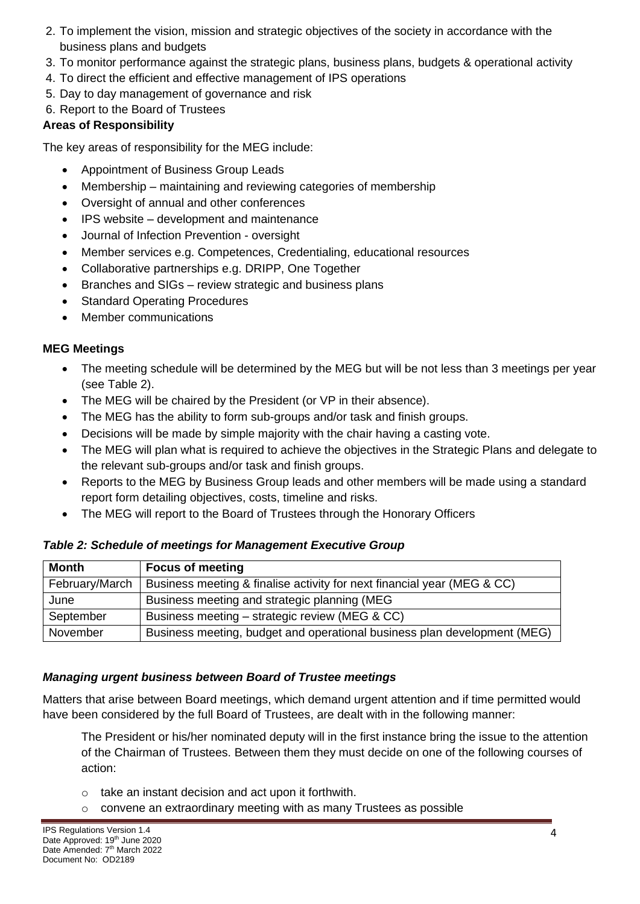- 2. To implement the vision, mission and strategic objectives of the society in accordance with the business plans and budgets
- 3. To monitor performance against the strategic plans, business plans, budgets & operational activity
- 4. To direct the efficient and effective management of IPS operations
- 5. Day to day management of governance and risk
- 6. Report to the Board of Trustees

#### **Areas of Responsibility**

The key areas of responsibility for the MEG include:

- Appointment of Business Group Leads
- Membership maintaining and reviewing categories of membership
- Oversight of annual and other conferences
- IPS website development and maintenance
- Journal of Infection Prevention oversight
- Member services e.g. Competences, Credentialing, educational resources
- Collaborative partnerships e.g. DRIPP, One Together
- Branches and SIGs review strategic and business plans
- Standard Operating Procedures
- Member communications

#### **MEG Meetings**

- The meeting schedule will be determined by the MEG but will be not less than 3 meetings per year (see Table 2).
- The MEG will be chaired by the President (or VP in their absence).
- The MEG has the ability to form sub-groups and/or task and finish groups.
- Decisions will be made by simple majority with the chair having a casting vote.
- The MEG will plan what is required to achieve the objectives in the Strategic Plans and delegate to the relevant sub-groups and/or task and finish groups.
- Reports to the MEG by Business Group leads and other members will be made using a standard report form detailing objectives, costs, timeline and risks.
- The MEG will report to the Board of Trustees through the Honorary Officers

#### *Table 2: Schedule of meetings for Management Executive Group*

| <b>Month</b>   | <b>Focus of meeting</b>                                                  |
|----------------|--------------------------------------------------------------------------|
| February/March | Business meeting & finalise activity for next financial year (MEG & CC)  |
| June           | Business meeting and strategic planning (MEG)                            |
| September      | Business meeting – strategic review (MEG & CC)                           |
| November       | Business meeting, budget and operational business plan development (MEG) |

### *Managing urgent business between Board of Trustee meetings*

Matters that arise between Board meetings, which demand urgent attention and if time permitted would have been considered by the full Board of Trustees, are dealt with in the following manner:

The President or his/her nominated deputy will in the first instance bring the issue to the attention of the Chairman of Trustees. Between them they must decide on one of the following courses of action:

- o take an instant decision and act upon it forthwith.
- o convene an extraordinary meeting with as many Trustees as possible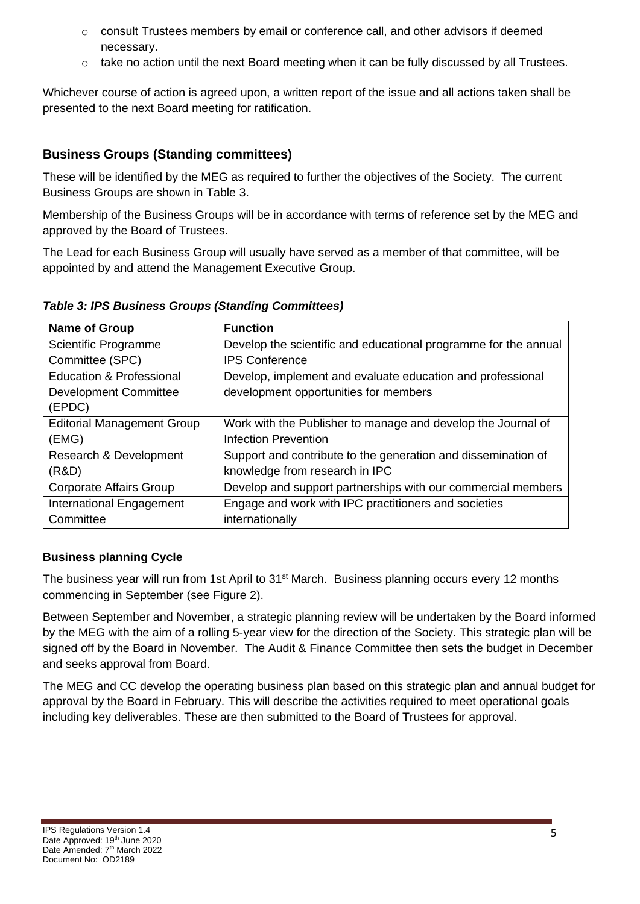- $\circ$  consult Trustees members by email or conference call, and other advisors if deemed necessary.
- $\circ$  take no action until the next Board meeting when it can be fully discussed by all Trustees.

Whichever course of action is agreed upon, a written report of the issue and all actions taken shall be presented to the next Board meeting for ratification.

# **Business Groups (Standing committees)**

These will be identified by the MEG as required to further the objectives of the Society. The current Business Groups are shown in Table 3.

Membership of the Business Groups will be in accordance with terms of reference set by the MEG and approved by the Board of Trustees.

The Lead for each Business Group will usually have served as a member of that committee, will be appointed by and attend the Management Executive Group.

**Name of Group Function** Scientific Programme Committee (SPC) Develop the scientific and educational programme for the annual IPS Conference Education & Professional Development Committee (EPDC) Develop, implement and evaluate education and professional development opportunities for members Editorial Management Group (EMG) Work with the Publisher to manage and develop the Journal of Infection Prevention Research & Development (R&D) Support and contribute to the generation and dissemination of knowledge from research in IPC Corporate Affairs Group Develop and support partnerships with our commercial members International Engagement **Committee** Engage and work with IPC practitioners and societies internationally

*Table 3: IPS Business Groups (Standing Committees)*

### **Business planning Cycle**

The business year will run from 1st April to 31<sup>st</sup> March. Business planning occurs every 12 months commencing in September (see Figure 2).

Between September and November, a strategic planning review will be undertaken by the Board informed by the MEG with the aim of a rolling 5-year view for the direction of the Society. This strategic plan will be signed off by the Board in November. The Audit & Finance Committee then sets the budget in December and seeks approval from Board.

The MEG and CC develop the operating business plan based on this strategic plan and annual budget for approval by the Board in February. This will describe the activities required to meet operational goals including key deliverables. These are then submitted to the Board of Trustees for approval.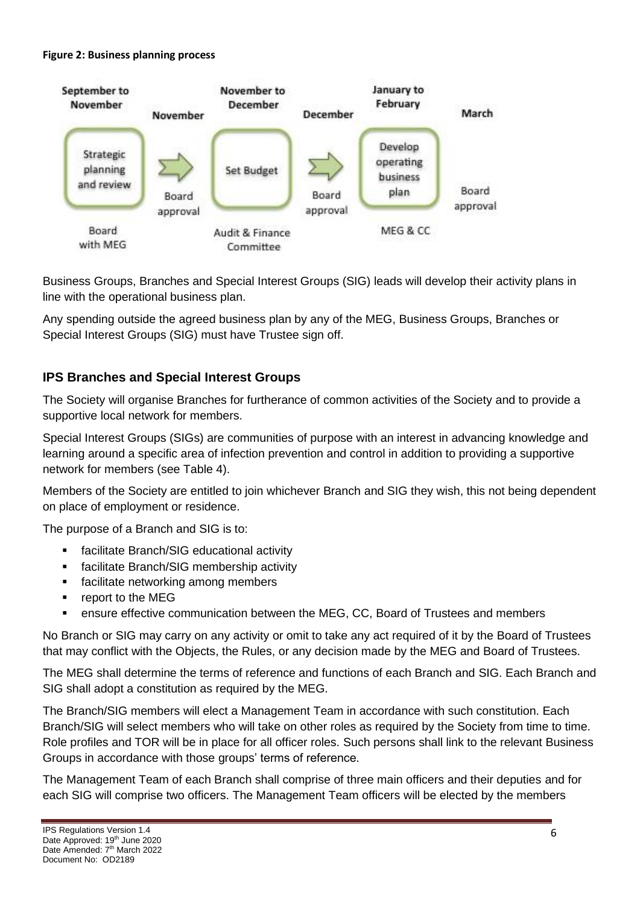#### **Figure 2: Business planning process**



Business Groups, Branches and Special Interest Groups (SIG) leads will develop their activity plans in line with the operational business plan.

Any spending outside the agreed business plan by any of the MEG, Business Groups, Branches or Special Interest Groups (SIG) must have Trustee sign off.

## **IPS Branches and Special Interest Groups**

The Society will organise Branches for furtherance of common activities of the Society and to provide a supportive local network for members.

Special Interest Groups (SIGs) are communities of purpose with an interest in advancing knowledge and learning around a specific area of infection prevention and control in addition to providing a supportive network for members (see Table 4).

Members of the Society are entitled to join whichever Branch and SIG they wish, this not being dependent on place of employment or residence.

The purpose of a Branch and SIG is to:

- facilitate Branch/SIG educational activity
- facilitate Branch/SIG membership activity
- facilitate networking among members
- report to the MEG
- ensure effective communication between the MEG, CC, Board of Trustees and members

No Branch or SIG may carry on any activity or omit to take any act required of it by the Board of Trustees that may conflict with the Objects, the Rules, or any decision made by the MEG and Board of Trustees.

The MEG shall determine the terms of reference and functions of each Branch and SIG. Each Branch and SIG shall adopt a constitution as required by the MEG.

The Branch/SIG members will elect a Management Team in accordance with such constitution. Each Branch/SIG will select members who will take on other roles as required by the Society from time to time. Role profiles and TOR will be in place for all officer roles. Such persons shall link to the relevant Business Groups in accordance with those groups' terms of reference.

The Management Team of each Branch shall comprise of three main officers and their deputies and for each SIG will comprise two officers. The Management Team officers will be elected by the members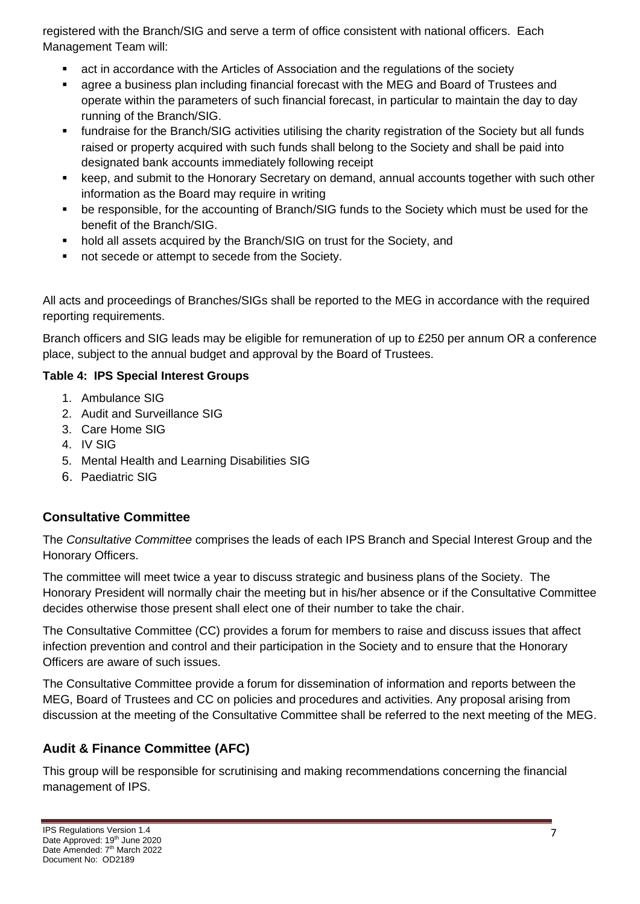registered with the Branch/SIG and serve a term of office consistent with national officers. Each Management Team will:

- act in accordance with the Articles of Association and the regulations of the society
- agree a business plan including financial forecast with the MEG and Board of Trustees and operate within the parameters of such financial forecast, in particular to maintain the day to day running of the Branch/SIG.
- fundraise for the Branch/SIG activities utilising the charity registration of the Society but all funds raised or property acquired with such funds shall belong to the Society and shall be paid into designated bank accounts immediately following receipt
- keep, and submit to the Honorary Secretary on demand, annual accounts together with such other information as the Board may require in writing
- be responsible, for the accounting of Branch/SIG funds to the Society which must be used for the benefit of the Branch/SIG.
- hold all assets acquired by the Branch/SIG on trust for the Society, and
- not secede or attempt to secede from the Society.

All acts and proceedings of Branches/SIGs shall be reported to the MEG in accordance with the required reporting requirements.

Branch officers and SIG leads may be eligible for remuneration of up to £250 per annum OR a conference place, subject to the annual budget and approval by the Board of Trustees.

### **Table 4: IPS Special Interest Groups**

- 1. Ambulance SIG
- 2. Audit and Surveillance SIG
- 3. Care Home SIG
- 4. IV SIG
- 5. Mental Health and Learning Disabilities SIG
- 6. Paediatric SIG

# **Consultative Committee**

The *Consultative Committee* comprises the leads of each IPS Branch and Special Interest Group and the Honorary Officers.

The committee will meet twice a year to discuss strategic and business plans of the Society. The Honorary President will normally chair the meeting but in his/her absence or if the Consultative Committee decides otherwise those present shall elect one of their number to take the chair.

The Consultative Committee (CC) provides a forum for members to raise and discuss issues that affect infection prevention and control and their participation in the Society and to ensure that the Honorary Officers are aware of such issues.

The Consultative Committee provide a forum for dissemination of information and reports between the MEG, Board of Trustees and CC on policies and procedures and activities. Any proposal arising from discussion at the meeting of the Consultative Committee shall be referred to the next meeting of the MEG.

# **Audit & Finance Committee (AFC)**

This group will be responsible for scrutinising and making recommendations concerning the financial management of IPS.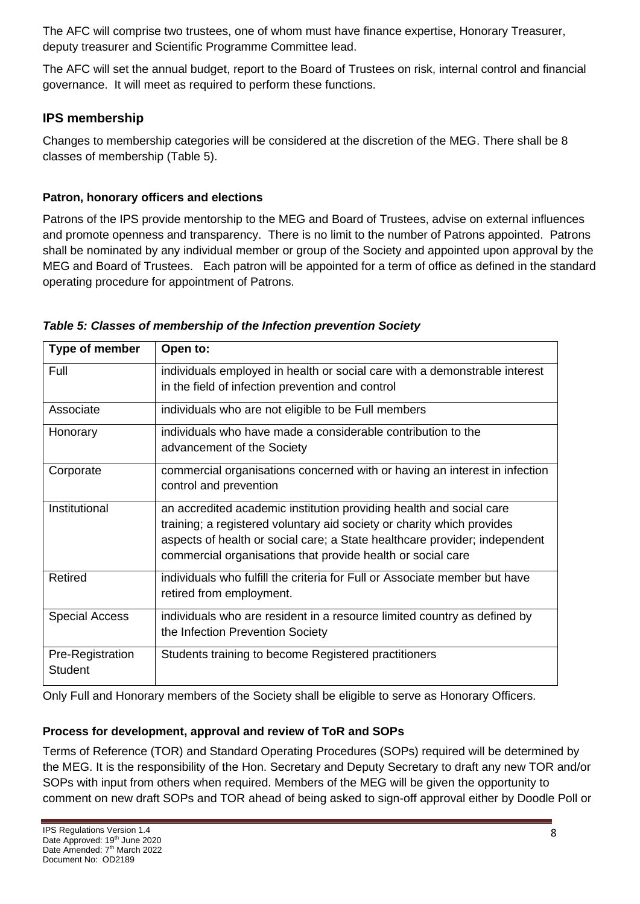The AFC will comprise two trustees, one of whom must have finance expertise, Honorary Treasurer, deputy treasurer and Scientific Programme Committee lead.

The AFC will set the annual budget, report to the Board of Trustees on risk, internal control and financial governance. It will meet as required to perform these functions.

# **IPS membership**

Changes to membership categories will be considered at the discretion of the MEG. There shall be 8 classes of membership (Table 5).

# **Patron, honorary officers and elections**

Patrons of the IPS provide mentorship to the MEG and Board of Trustees, advise on external influences and promote openness and transparency. There is no limit to the number of Patrons appointed. Patrons shall be nominated by any individual member or group of the Society and appointed upon approval by the MEG and Board of Trustees. Each patron will be appointed for a term of office as defined in the standard operating procedure for appointment of Patrons.

|  | Table 5: Classes of membership of the Infection prevention Society |
|--|--------------------------------------------------------------------|
|--|--------------------------------------------------------------------|

| Type of member                     | Open to:                                                                                                                                                                                                                                                                                   |  |  |  |
|------------------------------------|--------------------------------------------------------------------------------------------------------------------------------------------------------------------------------------------------------------------------------------------------------------------------------------------|--|--|--|
| Full                               | individuals employed in health or social care with a demonstrable interest<br>in the field of infection prevention and control                                                                                                                                                             |  |  |  |
| Associate                          | individuals who are not eligible to be Full members                                                                                                                                                                                                                                        |  |  |  |
| Honorary                           | individuals who have made a considerable contribution to the<br>advancement of the Society                                                                                                                                                                                                 |  |  |  |
| Corporate                          | commercial organisations concerned with or having an interest in infection<br>control and prevention                                                                                                                                                                                       |  |  |  |
| Institutional                      | an accredited academic institution providing health and social care<br>training; a registered voluntary aid society or charity which provides<br>aspects of health or social care; a State healthcare provider; independent<br>commercial organisations that provide health or social care |  |  |  |
| Retired                            | individuals who fulfill the criteria for Full or Associate member but have<br>retired from employment.                                                                                                                                                                                     |  |  |  |
| <b>Special Access</b>              | individuals who are resident in a resource limited country as defined by<br>the Infection Prevention Society                                                                                                                                                                               |  |  |  |
| Pre-Registration<br><b>Student</b> | Students training to become Registered practitioners                                                                                                                                                                                                                                       |  |  |  |

Only Full and Honorary members of the Society shall be eligible to serve as Honorary Officers.

# **Process for development, approval and review of ToR and SOPs**

Terms of Reference (TOR) and Standard Operating Procedures (SOPs) required will be determined by the MEG. It is the responsibility of the Hon. Secretary and Deputy Secretary to draft any new TOR and/or SOPs with input from others when required. Members of the MEG will be given the opportunity to comment on new draft SOPs and TOR ahead of being asked to sign-off approval either by Doodle Poll or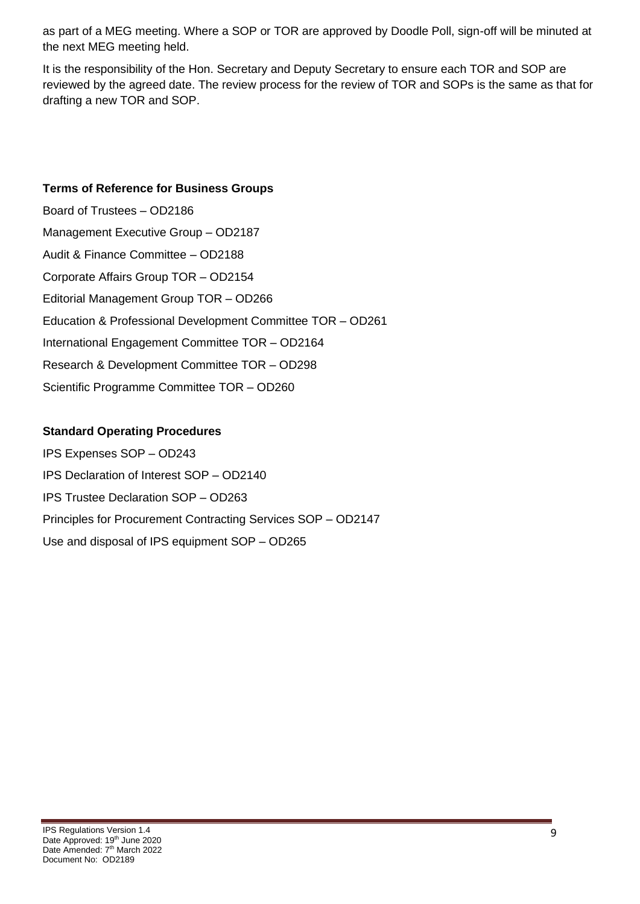as part of a MEG meeting. Where a SOP or TOR are approved by Doodle Poll, sign-off will be minuted at the next MEG meeting held.

It is the responsibility of the Hon. Secretary and Deputy Secretary to ensure each TOR and SOP are reviewed by the agreed date. The review process for the review of TOR and SOPs is the same as that for drafting a new TOR and SOP.

#### **Terms of Reference for Business Groups**

Board of Trustees – OD2186 Management Executive Group – OD2187 Audit & Finance Committee – OD2188 Corporate Affairs Group TOR – OD2154 Editorial Management Group TOR – OD266 Education & Professional Development Committee TOR – OD261 International Engagement Committee TOR – OD2164 Research & Development Committee TOR – OD298 Scientific Programme Committee TOR – OD260

### **Standard Operating Procedures**

IPS Expenses SOP – OD243 IPS Declaration of Interest SOP – OD2140 IPS Trustee Declaration SOP – OD263 Principles for Procurement Contracting Services SOP – OD2147 Use and disposal of IPS equipment SOP – OD265